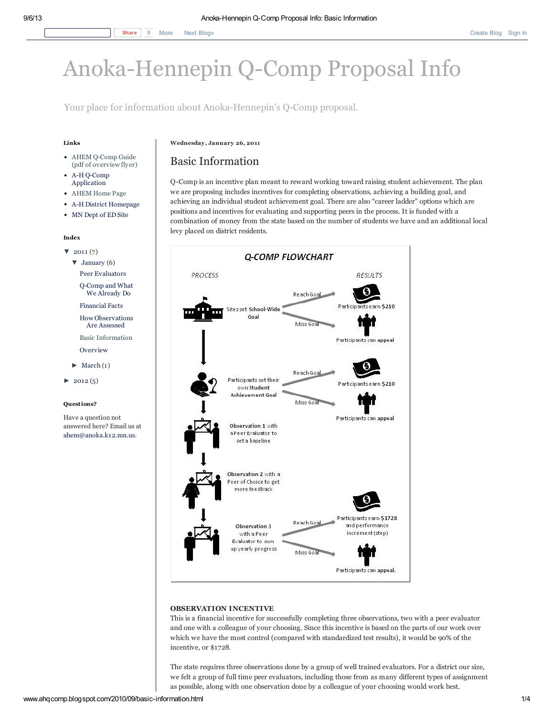# [Anoka-Hennepin](http://www.ahqcomp.blogspot.com/) Q-Comp Proposal Info

Your place for information about Anoka-Hennepin's Q-Comp proposal.

## Links

- AHEM Q-Comp Guide (pdf of [overview](http://ahem.locals.educationminnesota.org/~/media/ahem/Upload/Documents/Q%20Comp%20Guide.ashx) flyer)
- A-H Q-Comp [Application](http://ahem.locals.educationminnesota.org/~/media/ahem/Upload/Documents/Q%20Comp%20application%201210%2010.ashx)
- [AHEM](http://ahem.locals.educationminnesota.org/) Home Page
- A-H District [Homepage](http://anoka.k12.mn.us/)
- MN [Dept](http://education.state.mn.us/mde/index.html) of ED Site

#### Index

- $\blacktriangledown$  [2011](http://www.ahqcomp.blogspot.com/search?updated-min=2011-01-01T00:00:00-06:00&updated-max=2012-01-01T00:00:00-06:00&max-results=7) (7)  $\blacktriangledown$  [January](http://www.ahqcomp.blogspot.com/2011_01_01_archive.html) (6)
	- Peer [Evaluators](http://www.ahqcomp.blogspot.com/2010/09/peer-evaluator.html)

[Q-Comp](http://www.ahqcomp.blogspot.com/2010/10/q-comp-and-what-we-already-do.html) and What We Already Do

[Financial](http://www.ahqcomp.blogspot.com/2010/10/financial-facts.html) Facts

How [Observations](http://www.ahqcomp.blogspot.com/2010/10/how-observations-are-assessed.html) Are Assessed

Basic [Information](http://www.ahqcomp.blogspot.com/2010/09/basic-information.html)

- [Overview](http://www.ahqcomp.blogspot.com/2011/01/overview.html)
- $\blacktriangleright$  [March](http://www.ahqcomp.blogspot.com/2011_03_01_archive.html) (1)
- $\blacktriangleright$  [2012](http://www.ahqcomp.blogspot.com/search?updated-min=2012-01-01T00:00:00-06:00&updated-max=2013-01-01T00:00:00-06:00&max-results=5) (5)

#### Questions?

Have a question not answered here? Email us at [ahem@anoka.k12.mn.us](http://ahem.locals.educationminnesota.org/Global/Contactform.aspx).

#### Wednesday, January 26, 2011

# Basic Information

Q-Comp is an incentive plan meant to reward working toward raising student achievement. The plan we are proposing includes incentives for completing observations, achieving a building goal, and achieving an individual student achievement goal. There are also "career ladder" options which are positions and incentives for evaluating and supporting peers in the process. It is funded with a combination of money from the state based on the number of students we have and an additional local levy placed on district residents.



# OBSERVATION INCENTIVE

This is a financial incentive for successfully completing three observations, two with a peer evaluator and one with a colleague of your choosing. Since this incentive is based on the parts of our work over which we have the most control (compared with standardized test results), it would be 90% of the incentive, or \$1728.

The state requires three observations done by a group of well trained evaluators. For a district our size, we felt a group of full time peer evaluators, including those from as many different types of assignment as possible, along with one observation done by a colleague of your choosing would work best.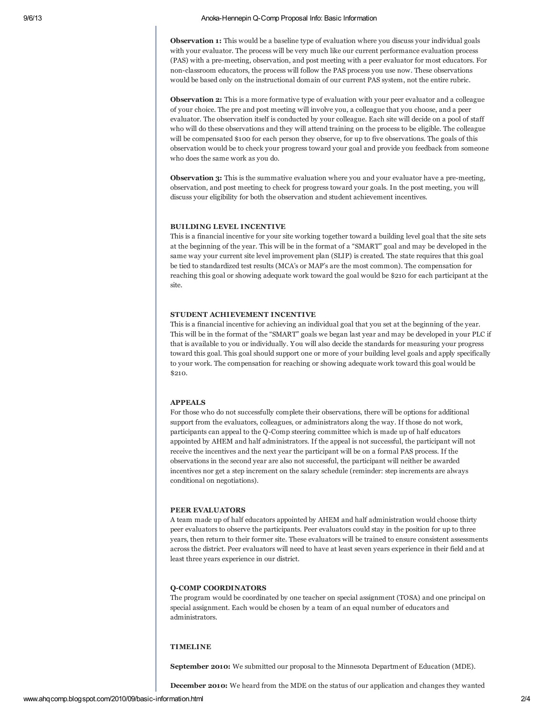**Observation 1:** This would be a baseline type of evaluation where you discuss your individual goals with your evaluator. The process will be very much like our current performance evaluation process (PAS) with a pre-meeting, observation, and post meeting with a peer evaluator for most educators. For non-classroom educators, the process will follow the PAS process you use now. These observations would be based only on the instructional domain of our current PAS system, not the entire rubric.

**Observation 2:** This is a more formative type of evaluation with your peer evaluator and a colleague of your choice. The pre and post meeting will involve you, a colleague that you choose, and a peer evaluator. The observation itself is conducted by your colleague. Each site will decide on a pool of staff who will do these observations and they will attend training on the process to be eligible. The colleague will be compensated \$100 for each person they observe, for up to five observations. The goals of this observation would be to check your progress toward your goal and provide you feedback from someone who does the same work as you do.

**Observation 3:** This is the summative evaluation where you and your evaluator have a pre-meeting, observation, and post meeting to check for progress toward your goals. In the post meeting, you will discuss your eligibility for both the observation and student achievement incentives.

#### BUILDING LEVEL INCENTIVE

This is a financial incentive for your site working together toward a building level goal that the site sets at the beginning of the year. This will be in the format of a "SMART" goal and may be developed in the same way your current site level improvement plan (SLIP) is created. The state requires that this goal be tied to standardized test results (MCA's or MAP's are the most common). The compensation for reaching this goal or showing adequate work toward the goal would be \$210 for each participant at the site.

# STUDENT ACHIEVEMENT INCENTIVE

This is a financial incentive for achieving an individual goal that you set at the beginning of the year. This will be in the format of the "SMART" goals we began last year and may be developed in your PLC if that is available to you or individually. You will also decide the standards for measuring your progress toward this goal. This goal should support one or more of your building level goals and apply specifically to your work. The compensation for reaching or showing adequate work toward this goal would be  $$210$ 

# APPEALS

For those who do not successfully complete their observations, there will be options for additional support from the evaluators, colleagues, or administrators along the way. If those do not work, participants can appeal to the Q-Comp steering committee which is made up of half educators appointed by AHEM and half administrators. If the appeal is not successful, the participant will not receive the incentives and the next year the participant will be on a formal PAS process. If the observations in the second year are also not successful, the participant will neither be awarded incentives nor get a step increment on the salary schedule (reminder: step increments are always conditional on negotiations).

#### PEER EVALUATORS

A team made up of half educators appointed by AHEM and half administration would choose thirty peer evaluators to observe the participants. Peer evaluators could stay in the position for up to three years, then return to their former site. These evaluators will be trained to ensure consistent assessments across the district. Peer evaluators will need to have at least seven years experience in their field and at least three years experience in our district.

#### Q-COMP COORDINATORS

The program would be coordinated by one teacher on special assignment (TOSA) and one principal on special assignment. Each would be chosen by a team of an equal number of educators and administrators.

# TIMELINE

September 2010: We submitted our proposal to the Minnesota Department of Education (MDE).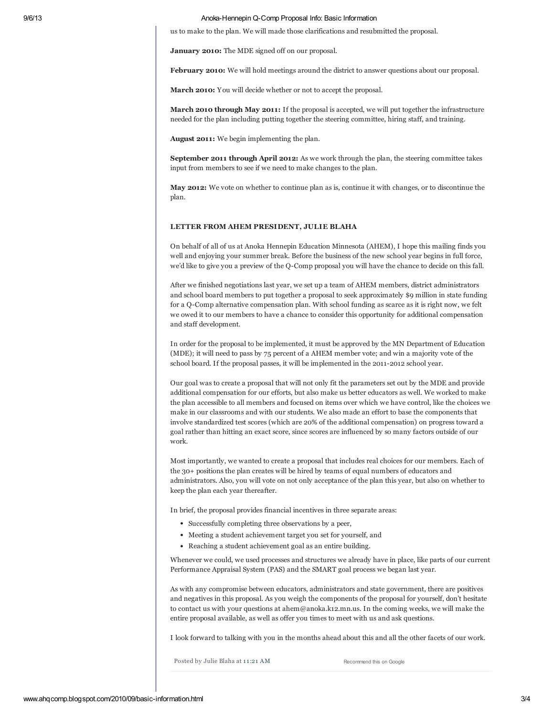#### 9/6/13 Anoka-Hennepin Q-Comp Proposal Info: Basic Information

us to make to the plan. We will made those clarifications and resubmitted the proposal.

January 2010: The MDE signed off on our proposal.

February 2010: We will hold meetings around the district to answer questions about our proposal.

March 2010: You will decide whether or not to accept the proposal.

March 2010 through May 2011: If the proposal is accepted, we will put together the infrastructure needed for the plan including putting together the steering committee, hiring staff, and training.

August 2011: We begin implementing the plan.

September 2011 through April 2012: As we work through the plan, the steering committee takes input from members to see if we need to make changes to the plan.

May 2012: We vote on whether to continue plan as is, continue it with changes, or to discontinue the plan.

#### LETTER FROM AHEM PRESIDENT, JULIE BLAHA

On behalf of all of us at Anoka Hennepin Education Minnesota (AHEM), I hope this mailing finds you well and enjoying your summer break. Before the business of the new school year begins in full force, we'd like to give you a preview of the Q-Comp proposal you will have the chance to decide on this fall.

After we finished negotiations last year, we set up a team of AHEM members, district administrators and school board members to put together a proposal to seek approximately \$9 million in state funding for a Q-Comp alternative compensation plan. With school funding as scarce as it is right now, we felt we owed it to our members to have a chance to consider this opportunity for additional compensation and staff development.

In order for the proposal to be implemented, it must be approved by the MN Department of Education (MDE); it will need to pass by 75 percent of a AHEM member vote; and win a majority vote of the school board. If the proposal passes, it will be implemented in the 2011-2012 school year.

Our goal was to create a proposal that will not only fit the parameters set out by the MDE and provide additional compensation for our efforts, but also make us better educators as well. We worked to make the plan accessible to all members and focused on items over which we have control, like the choices we make in our classrooms and with our students. We also made an effort to base the components that involve standardized test scores (which are 20% of the additional compensation) on progress toward a goal rather than hitting an exact score, since scores are influenced by so many factors outside of our work.

Most importantly, we wanted to create a proposal that includes real choices for our members. Each of the 30+ positions the plan creates will be hired by teams of equal numbers of educators and administrators. Also, you will vote on not only acceptance of the plan this year, but also on whether to keep the plan each year thereafter.

In brief, the proposal provides financial incentives in three separate areas:

- Successfully completing three observations by a peer,
- Meeting a student achievement target you set for yourself, and
- Reaching a student achievement goal as an entire building.

Whenever we could, we used processes and structures we already have in place, like parts of our current Performance Appraisal System (PAS) and the SMART goal process we began last year.

As with any compromise between educators, administrators and state government, there are positives and negatives in this proposal. As you weigh the components of the proposal for yourself, don't hesitate to contact us with your questions at ahem@anoka.k12.mn.us. In the coming weeks, we will make the entire proposal available, as well as offer you times to meet with us and ask questions.

I look forward to talking with you in the months ahead about this and all the other facets of our work.

Posted by Julie Blaha at 11:21 [AM](http://www.ahqcomp.blogspot.com/2010/09/basic-information.html)

Recommend this on Google